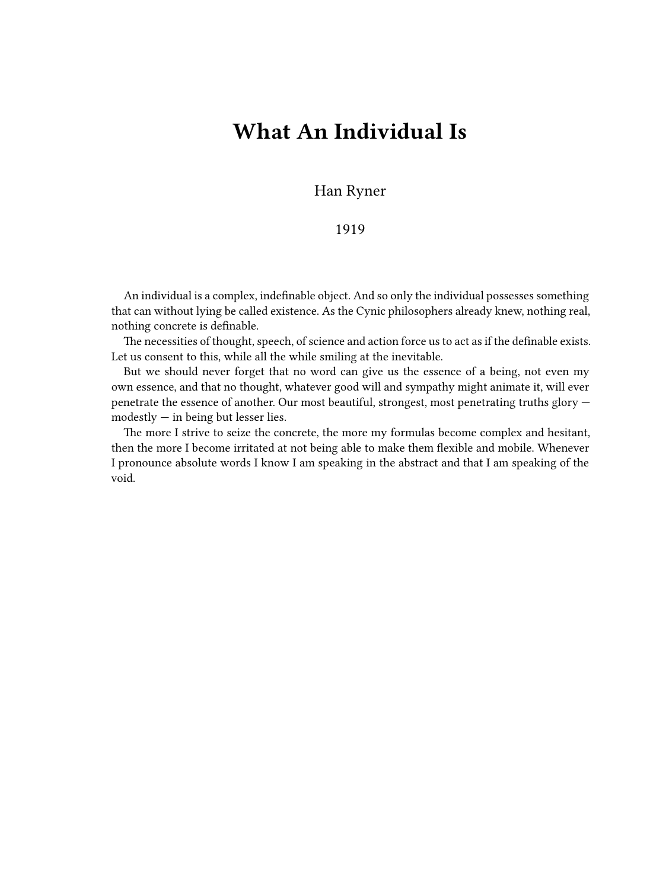## **What An Individual Is**

Han Ryner

## 1919

An individual is a complex, indefinable object. And so only the individual possesses something that can without lying be called existence. As the Cynic philosophers already knew, nothing real, nothing concrete is definable.

The necessities of thought, speech, of science and action force us to act as if the definable exists. Let us consent to this, while all the while smiling at the inevitable.

But we should never forget that no word can give us the essence of a being, not even my own essence, and that no thought, whatever good will and sympathy might animate it, will ever penetrate the essence of another. Our most beautiful, strongest, most penetrating truths glory  $models$  modestly  $-$  in being but lesser lies.

The more I strive to seize the concrete, the more my formulas become complex and hesitant, then the more I become irritated at not being able to make them flexible and mobile. Whenever I pronounce absolute words I know I am speaking in the abstract and that I am speaking of the void.